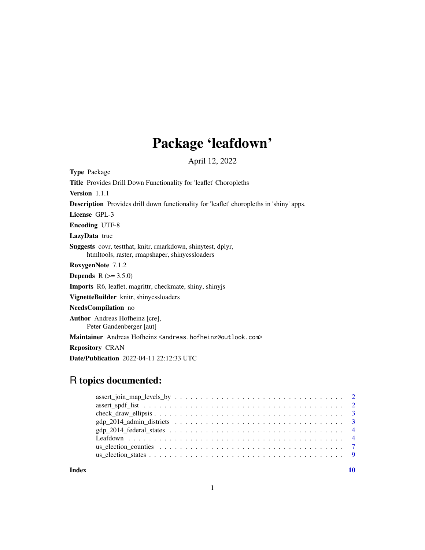## Package 'leafdown'

April 12, 2022

Type Package Title Provides Drill Down Functionality for 'leaflet' Choropleths Version 1.1.1 Description Provides drill down functionality for 'leaflet' choropleths in 'shiny' apps. License GPL-3 Encoding UTF-8 LazyData true Suggests covr, testthat, knitr, rmarkdown, shinytest, dplyr, htmltools, raster, rmapshaper, shinycssloaders RoxygenNote 7.1.2 **Depends**  $R (= 3.5.0)$ Imports R6, leaflet, magrittr, checkmate, shiny, shinyjs VignetteBuilder knitr, shinycssloaders NeedsCompilation no Author Andreas Hofheinz [cre], Peter Gandenberger [aut] Maintainer Andreas Hofheinz <andreas.hofheinz@outlook.com> Repository CRAN

Date/Publication 2022-04-11 22:12:33 UTC

### R topics documented:

| $assert\_join\_map\_levels\_by \dots \dots \dots \dots \dots \dots \dots \dots \dots \dots \dots \dots \dots \dots \dots \dots$ |  |
|---------------------------------------------------------------------------------------------------------------------------------|--|
|                                                                                                                                 |  |
| $check\_draw\_ellipsis \dots \dots \dots \dots \dots \dots \dots \dots \dots \dots \dots \dots \dots \dots \dots \dots \dots$   |  |
|                                                                                                                                 |  |
|                                                                                                                                 |  |
|                                                                                                                                 |  |
|                                                                                                                                 |  |
|                                                                                                                                 |  |
|                                                                                                                                 |  |

 $\blacksquare$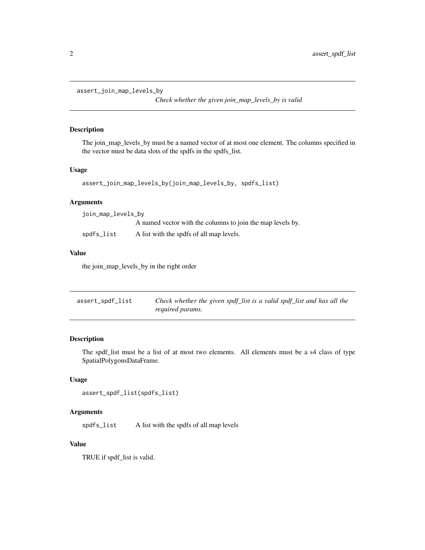```
assert_join_map_levels_by
```
*Check whether the given join\_map\_levels\_by is valid*

#### Description

The join\_map\_levels\_by must be a named vector of at most one element. The columns specified in the vector must be data slots of the spdfs in the spdfs\_list.

#### Usage

```
assert_join_map_levels_by(join_map_levels_by, spdfs_list)
```
#### Arguments

| join_map_levels_by |                                                            |  |
|--------------------|------------------------------------------------------------|--|
|                    | A named vector with the columns to join the map levels by. |  |
| spdfs_list         | A list with the spdfs of all map levels.                   |  |

#### Value

the join\_map\_levels\_by in the right order

| assert_spdf_list | Check whether the given spdf_list is a valid spdf_list and has all the |
|------------------|------------------------------------------------------------------------|
|                  | required params.                                                       |

#### Description

The spdf\_list must be a list of at most two elements. All elements must be a s4 class of type SpatialPolygonsDataFrame.

#### Usage

```
assert_spdf_list(spdfs_list)
```
#### Arguments

spdfs\_list A list with the spdfs of all map levels

#### Value

TRUE if spdf\_list is valid.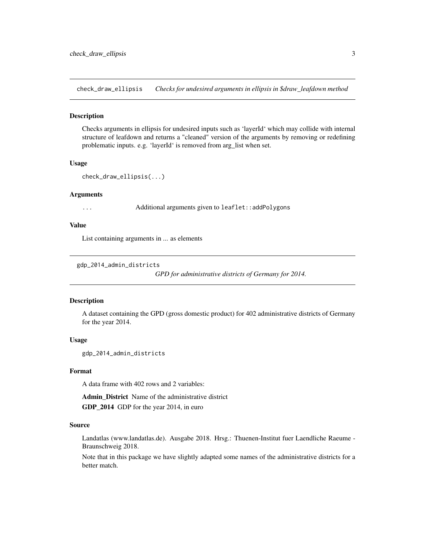<span id="page-2-0"></span>check\_draw\_ellipsis *Checks for undesired arguments in ellipsis in \$draw\_leafdown method*

#### Description

Checks arguments in ellipsis for undesired inputs such as 'layerId' which may collide with internal structure of leafdown and returns a "cleaned" version of the arguments by removing or redefining problematic inputs. e.g. 'layerId' is removed from arg\_list when set.

#### Usage

```
check_draw_ellipsis(...)
```
#### Arguments

... Additional arguments given to leaflet::addPolygons

#### Value

List containing arguments in ... as elements

```
gdp_2014_admin_districts
```
*GPD for administrative districts of Germany for 2014.*

#### Description

A dataset containing the GPD (gross domestic product) for 402 administrative districts of Germany for the year 2014.

#### Usage

gdp\_2014\_admin\_districts

#### Format

A data frame with 402 rows and 2 variables:

Admin\_District Name of the administrative district GDP\_2014 GDP for the year 2014, in euro

#### Source

Landatlas (www.landatlas.de). Ausgabe 2018. Hrsg.: Thuenen-Institut fuer Laendliche Raeume - Braunschweig 2018.

Note that in this package we have slightly adapted some names of the administrative districts for a better match.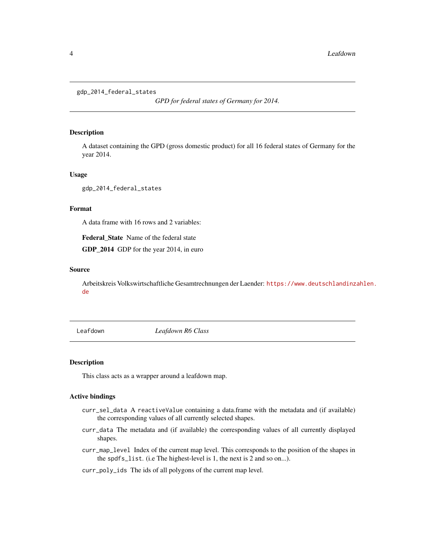```
gdp_2014_federal_states
```
*GPD for federal states of Germany for 2014.*

#### Description

A dataset containing the GPD (gross domestic product) for all 16 federal states of Germany for the year 2014.

#### Usage

gdp\_2014\_federal\_states

#### Format

A data frame with 16 rows and 2 variables:

Federal\_State Name of the federal state

GDP\_2014 GDP for the year 2014, in euro

#### Source

Arbeitskreis Volkswirtschaftliche Gesamtrechnungen der Laender: [https://www.deutschlandinz](https://www.deutschlandinzahlen.de)ahlen. [de](https://www.deutschlandinzahlen.de)

Leafdown *Leafdown R6 Class*

#### Description

This class acts as a wrapper around a leafdown map.

#### Active bindings

- curr\_sel\_data A reactiveValue containing a data.frame with the metadata and (if available) the corresponding values of all currently selected shapes.
- curr\_data The metadata and (if available) the corresponding values of all currently displayed shapes.
- curr\_map\_level Index of the current map level. This corresponds to the position of the shapes in the spdfs\_list. (i.e The highest-level is 1, the next is 2 and so on...).
- curr\_poly\_ids The ids of all polygons of the current map level.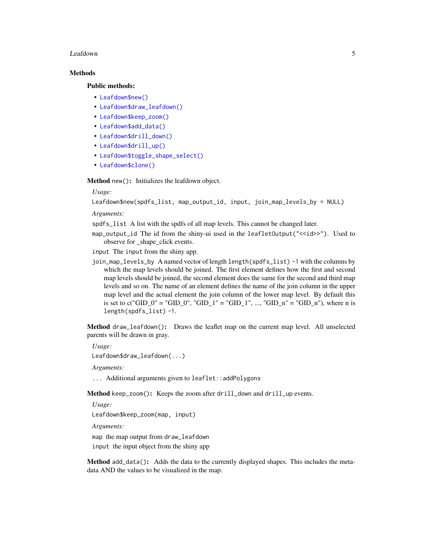#### Leafdown 5

#### Methods

#### Public methods:

- [Leafdown\\$new\(\)](#page-4-0)
- [Leafdown\\$draw\\_leafdown\(\)](#page-4-1)
- [Leafdown\\$keep\\_zoom\(\)](#page-4-2)
- [Leafdown\\$add\\_data\(\)](#page-4-3)
- [Leafdown\\$drill\\_down\(\)](#page-5-0)
- [Leafdown\\$drill\\_up\(\)](#page-5-1)
- [Leafdown\\$toggle\\_shape\\_select\(\)](#page-5-2)
- [Leafdown\\$clone\(\)](#page-5-3)

<span id="page-4-0"></span>Method new(): Initializes the leafdown object.

#### *Usage:*

Leafdown\$new(spdfs\_list, map\_output\_id, input, join\_map\_levels\_by = NULL)

*Arguments:*

spdfs\_list A list with the spdfs of all map levels. This cannot be changed later.

map\_output\_id The id from the shiny-ui used in the leafletOutput("<<id>>"). Used to observe for shape click events.

input The input from the shiny app.

join\_map\_levels\_by A named vector of length length(spdfs\_list) -1 with the columns by which the map levels should be joined. The first element defines how the first and second map levels should be joined, the second element does the same for the second and third map levels and so on. The name of an element defines the name of the join column in the upper map level and the actual element the join column of the lower map level. By default this is set to c("GID\_0" = "GID\_0", "GID\_1" = "GID\_1", ..., "GID\_n" = "GID\_n"), where n is length(spdfs\_list) -1.

<span id="page-4-1"></span>Method draw\_leafdown(): Draws the leaflet map on the current map level. All unselected parents will be drawn in gray.

*Usage:*

Leafdown\$draw\_leafdown(...)

*Arguments:*

... Additional arguments given to leaflet::addPolygons

<span id="page-4-2"></span>Method keep\_zoom(): Keeps the zoom after drill\_down and drill\_up events.

*Usage:*

Leafdown\$keep\_zoom(map, input)

*Arguments:*

map the map output from draw\_leafdown

input the input object from the shiny app

<span id="page-4-3"></span>Method add\_data(): Adds the data to the currently displayed shapes. This includes the metadata AND the values to be visualized in the map.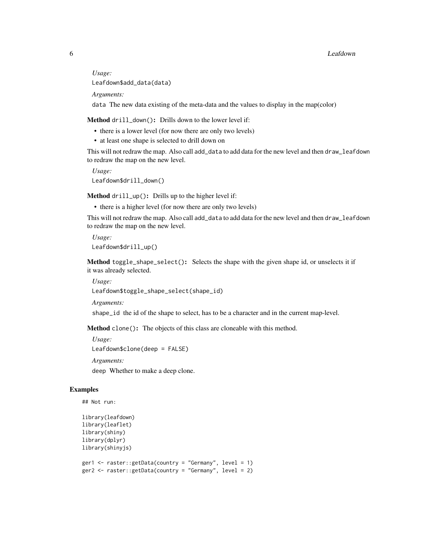*Usage:* Leafdown\$add\_data(data)

*Arguments:*

data The new data existing of the meta-data and the values to display in the map(color)

<span id="page-5-0"></span>Method drill\_down(): Drills down to the lower level if:

- there is a lower level (for now there are only two levels)
- at least one shape is selected to drill down on

This will not redraw the map. Also call add\_data to add data for the new level and then draw\_leafdown to redraw the map on the new level.

```
Usage:
Leafdown$drill_down()
```
<span id="page-5-1"></span>Method drill\_up(): Drills up to the higher level if:

• there is a higher level (for now there are only two levels)

This will not redraw the map. Also call add\_data to add data for the new level and then draw\_leafdown to redraw the map on the new level.

*Usage:* Leafdown\$drill\_up()

<span id="page-5-2"></span>Method toggle\_shape\_select(): Selects the shape with the given shape id, or unselects it if it was already selected.

```
Usage:
Leafdown$toggle_shape_select(shape_id)
```
*Arguments:*

shape\_id the id of the shape to select, has to be a character and in the current map-level.

<span id="page-5-3"></span>Method clone(): The objects of this class are cloneable with this method.

*Usage:*

```
Leafdown$clone(deep = FALSE)
```
*Arguments:*

deep Whether to make a deep clone.

#### Examples

```
## Not run:
```

```
library(leafdown)
library(leaflet)
library(shiny)
library(dplyr)
library(shinyjs)
```

```
ger1 <- raster::getData(country = "Germany", level = 1)
ger2 <- raster::getData(country = "Germany", level = 2)
```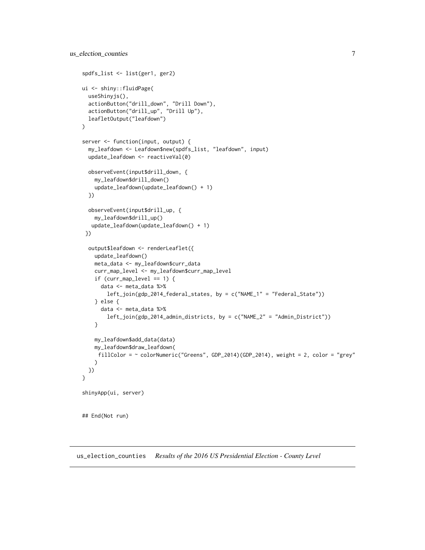```
spdfs_list <- list(ger1, ger2)
ui <- shiny::fluidPage(
 useShinyjs(),
  actionButton("drill_down", "Drill Down"),
  actionButton("drill_up", "Drill Up"),
  leafletOutput("leafdown")
)
server <- function(input, output) {
  my_leafdown <- Leafdown$new(spdfs_list, "leafdown", input)
  update_leafdown <- reactiveVal(0)
  observeEvent(input$drill_down, {
    my_leafdown$drill_down()
    update_leafdown(update_leafdown() + 1)
  })
  observeEvent(input$drill_up, {
    my_leafdown$drill_up()
   update_leafdown(update_leafdown() + 1)
 })
  output$leafdown <- renderLeaflet({
    update_leafdown()
    meta_data <- my_leafdown$curr_data
    curr_map_level <- my_leafdown$curr_map_level
    if (curr_map_level == 1) {
      data <- meta_data %>%
        left_join(gdp_2014_federal_states, by = c("NAME_1" = "Federal_State"))
    } else {
      data <- meta_data %>%
        left_join(gdp_2014_admin_districts, by = c("NAME_2" = "Admin_District"))
    }
    my_leafdown$add_data(data)
   my_leafdown$draw_leafdown(
     fillColor = ~ colorNumeric("Greens", GDP_2014)(GDP_2014), weight = 2, color = "grey"
    )
 })
}
shinyApp(ui, server)
## End(Not run)
```
us\_election\_counties *Results of the 2016 US Presidential Election - County Level*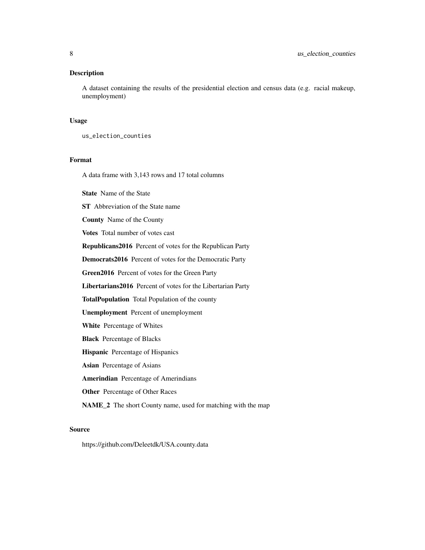#### Description

A dataset containing the results of the presidential election and census data (e.g. racial makeup, unemployment)

#### Usage

us\_election\_counties

#### Format

A data frame with 3,143 rows and 17 total columns

State Name of the State

ST Abbreviation of the State name

County Name of the County

Votes Total number of votes cast

Republicans2016 Percent of votes for the Republican Party

Democrats2016 Percent of votes for the Democratic Party

Green2016 Percent of votes for the Green Party

Libertarians2016 Percent of votes for the Libertarian Party

TotalPopulation Total Population of the county

Unemployment Percent of unemployment

White Percentage of Whites

Black Percentage of Blacks

Hispanic Percentage of Hispanics

Asian Percentage of Asians

Amerindian Percentage of Amerindians

Other Percentage of Other Races

NAME\_2 The short County name, used for matching with the map

#### Source

https://github.com/Deleetdk/USA.county.data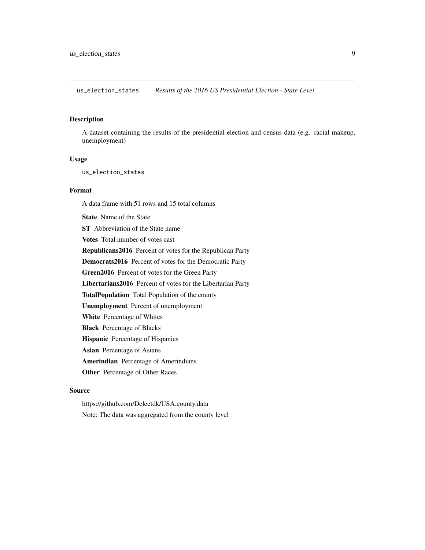<span id="page-8-0"></span>us\_election\_states *Results of the 2016 US Presidential Election - State Level*

#### Description

A dataset containing the results of the presidential election and census data (e.g. racial makeup, unemployment)

#### Usage

us\_election\_states

#### Format

A data frame with 51 rows and 15 total columns

State Name of the State

ST Abbreviation of the State name

Votes Total number of votes cast

Republicans2016 Percent of votes for the Republican Party

Democrats2016 Percent of votes for the Democratic Party

Green2016 Percent of votes for the Green Party

Libertarians2016 Percent of votes for the Libertarian Party

TotalPopulation Total Population of the county

Unemployment Percent of unemployment

White Percentage of Whites

Black Percentage of Blacks

Hispanic Percentage of Hispanics

Asian Percentage of Asians

Amerindian Percentage of Amerindians

Other Percentage of Other Races

#### Source

https://github.com/Deleetdk/USA.county.data

Note: The data was aggregated from the county level